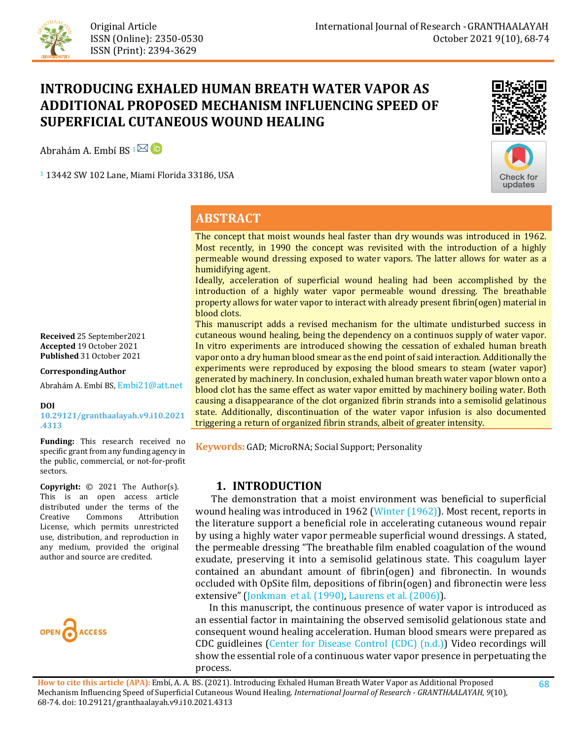

# **INTRODUCING EXHALED HUMAN BREATH WATER VAPOR AS ADDITIONAL PROPOSED MECHANISM INFLUENCING SPEED OF SUPERFICIAL CUTANEOUS WOUND HEALING**

Abrahám A. Embí BS 1<sup> $\boxtimes$ </sup>

<sup>1</sup> 13442 SW 102 Lane, Miami Florida 33186, USA





### **ABSTRACT**

The concept that moist wounds heal faster than dry wounds was introduced in 1962. Most recently, in 1990 the concept was revisited with the introduction of a highly permeable wound dressing exposed to water vapors. The latter allows for water as a humidifying agent.

Ideally, acceleration of superficial wound healing had been accomplished by the introduction of a highly water vapor permeable wound dressing. The breathable property allows for water vapor to interact with already present fibrin(ogen) material in blood clots.

This manuscript adds a revised mechanism for the ultimate undisturbed success in cutaneous wound healing, being the dependency on a continuos supply of water vapor. In vitro experiments are introduced showing the cessation of exhaled human breath vapor onto a dry human blood smear as the end point of said interaction. Additionally the experiments were reproduced by exposing the blood smears to steam (water vapor) generated by machinery. In conclusion, exhaled human breath water vapor blown onto a blood clot has the same effect as water vapor emitted by machinery boiling water. Both causing a disappearance of the clot organized fibrin strands into a semisolid gelatinous state. Additionally, discontinuation of the water vapor infusion is also documented triggering a return of organized fibrin strands, albeit of greater intensity.

**Keywords:** GAD; MicroRNA; Social Support; Personality

#### **1. INTRODUCTION**

 The demonstration that a moist environment was beneficial to superficial wound healing was introduced in 1962 [\(Winter \(1962\)\)](#page-6-0). Most recent, reports in the literature support a beneficial role in accelerating cutaneous wound repair by using a highly water vapor permeable superficial wound dressings. A stated, the permeable dressing "The breathable film enabled coagulation of the wound exudate, preserving it into a semisolid gelatinous state. This coagulum layer contained an abundant amount of fibrin(ogen) and fibronectin. In wounds occluded with OpSite film, depositions of fibrin(ogen) and fibronectin were less extensive" [\(Jonkman et al. \(1990\),](#page-6-1) [Laurens et al. \(2006\)\)](#page-6-2).

 In this manuscript, the continuous presence of water vapor is introduced as an essential factor in maintaining the observed semisolid gelationous state and consequent wound healing acceleration. Human blood smears were prepared as CDC guidleines [\(Center for Disease Control \(CDC\) \(n.d.\)\)](#page-6-3) Video recordings will show the essential role of a continuous water vapor presence in perpetuating the process.

**Received** 25 September2021 **Accepted** 19 October 2021 **Published** 31 October 2021

#### **CorrespondingAuthor**

Abrahám A. Embí BS, Embi21@att.net

#### **DOI**

**[10.29121/granthaalayah.v9.i10.2021](https://dx.doi.org/10.29121/granthaalayah.v9.i10.2021.4313) [.4313](https://dx.doi.org/10.29121/granthaalayah.v9.i10.2021.4313)**

**Funding:** This research received no specific grant from any funding agency in the public, commercial, or not-for-profit sectors.

**Copyright:** © 2021 The Author(s). This is an open access article distributed under the terms of the<br>Creative Commons Attribution Attribution License, which permits unrestricted use, distribution, and reproduction in any medium, provided the original author and source are credited.

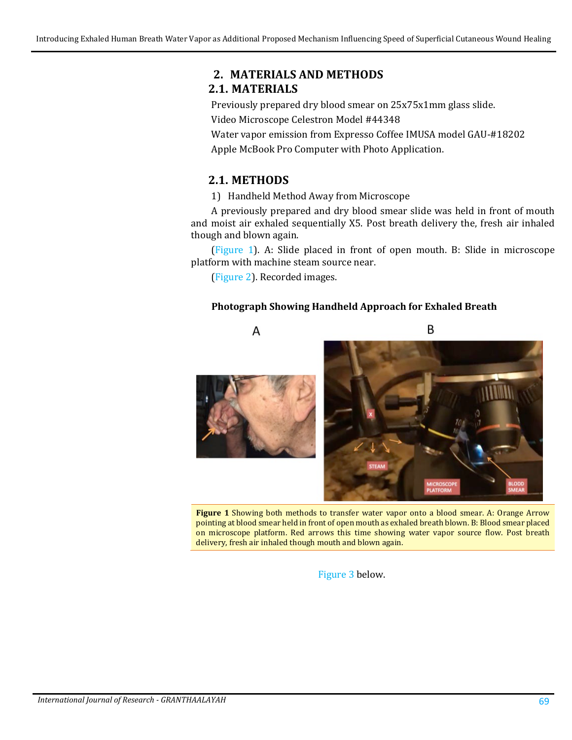# **2. MATERIALS AND METHODS**

# **2.1. MATERIALS**

Previously prepared dry blood smear on 25x75x1mm glass slide. Video Microscope Celestron Model #44348

Water vapor emission from Expresso Coffee IMUSA model GAU-#18202

Apple McBook Pro Computer with Photo Application.

## **2.1. METHODS**

1) Handheld Method Away from Microscope

A previously prepared and dry blood smear slide was held in front of mouth and moist air exhaled sequentially X5. Post breath delivery the, fresh air inhaled though and blown again.

[\(Figure 1\)](#page-1-0). A: Slide placed in front of open mouth. B: Slide in microscope platform with machine steam source near.

[\(Figure 2\)](#page-2-0). Recorded images.

### **Photograph Showing Handheld Approach for Exhaled Breath**



<span id="page-1-0"></span>**Figure 1** Showing both methods to transfer water vapor onto a blood smear. A: Orange Arrow pointing at blood smear held in front of open mouth as exhaled breath blown. B: Blood smear placed on microscope platform. Red arrows this time showing water vapor source flow. Post breath delivery, fresh air inhaled though mouth and blown again.

[Figure 3 b](#page-3-0)elow.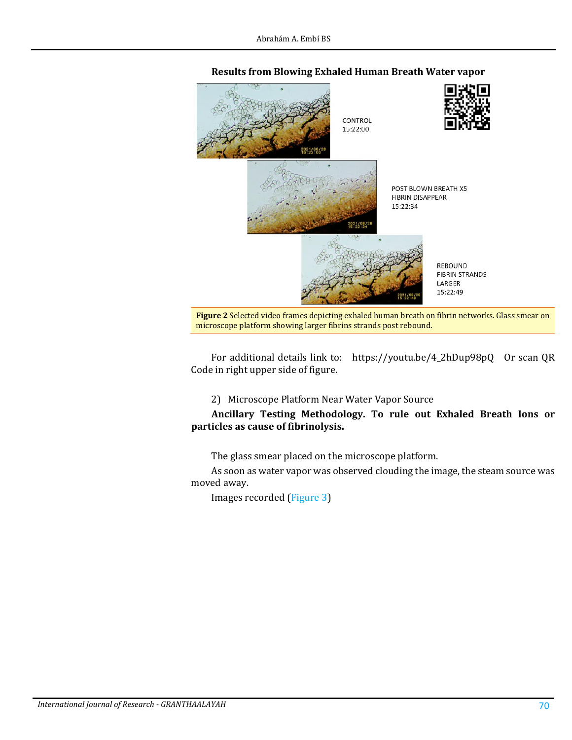

#### **Results from Blowing Exhaled Human Breath Water vapor**

<span id="page-2-0"></span>**Figure 2** Selected video frames depicting exhaled human breath on fibrin networks. Glass smear on microscope platform showing larger fibrins strands post rebound.

For additional details link to: https://youtu.be/4\_2hDup98pQ Or scan QR Code in right upper side of figure.

2) Microscope Platform Near Water Vapor Source

**Ancillary Testing Methodology. To rule out Exhaled Breath Ions or particles as cause of fibrinolysis.** 

The glass smear placed on the microscope platform.

As soon as water vapor was observed clouding the image, the steam source was moved away.

Images recorded [\(Figure 3\)](#page-3-0)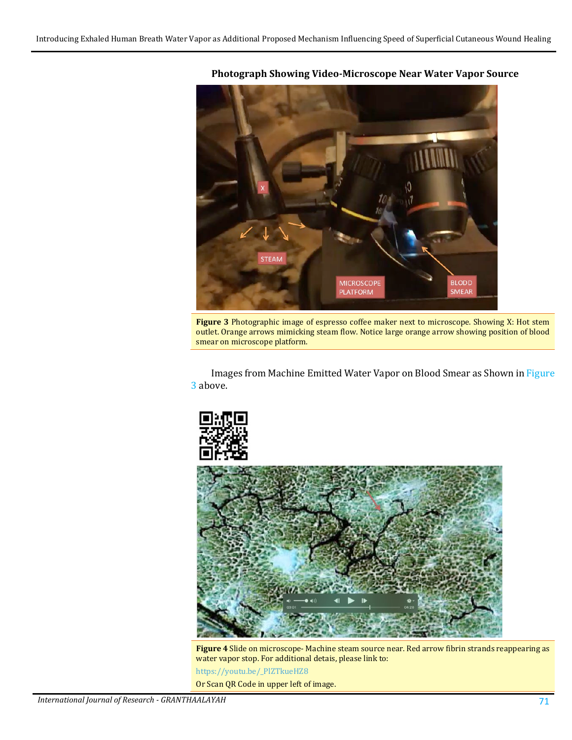

**Photograph Showing Video-Microscope Near Water Vapor Source**

<span id="page-3-0"></span>**Figure 3** Photographic image of espresso coffee maker next to microscope. Showing X: Hot stem outlet. Orange arrows mimicking steam flow. Notice large orange arrow showing position of blood smear on microscope platform.

Images from Machine Emitted Water Vapor on Blood Smear as Shown in [Figure](#page-3-0)  [3](#page-3-0) above.





**Figure 4** Slide on microscope- Machine steam source near. Red arrow fibrin strands reappearing as water vapor stop. For additional detais, please link to: [https://youtu.be/\\_PlZTkueHZ8](https://youtu.be/_PlZTkueHZ8)

Or Scan QR Code in upper left of image.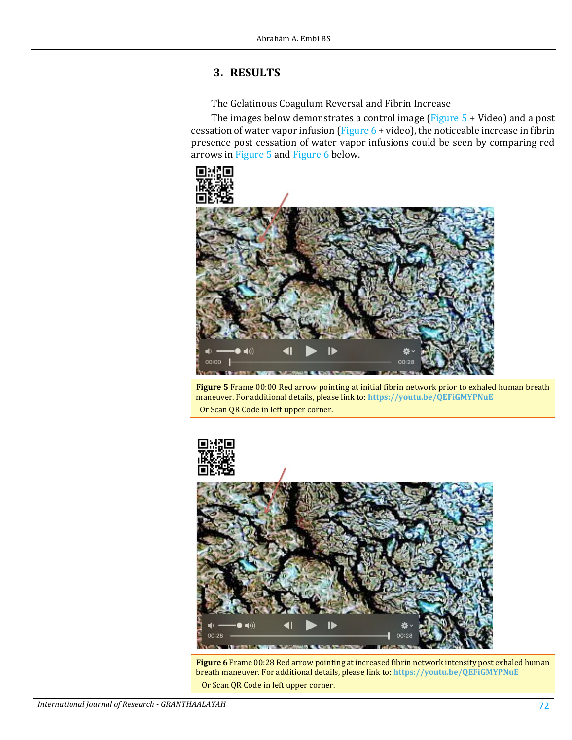### **3. RESULTS**

The Gelatinous Coagulum Reversal and Fibrin Increase

The images below demonstrates a control image ( $Figure 5 + Video$ ) and a post cessation of water vapor infusion ( $Figure 6 + video$ ), the noticeable increase in fibrin presence post cessation of water vapor infusions could be seen by comparing red arrows in [Figure 5](#page-4-0) an[d Figure 6](#page-4-1) below.



<span id="page-4-0"></span>**Figure 5** Frame 00:00 Red arrow pointing at initial fibrin network prior to exhaled human breath maneuver. For additional details, please link to: **<https://youtu.be/QEFiGMYPNuE>** Or Scan QR Code in left upper corner.

<span id="page-4-1"></span>

**Figure 6** Frame 00:28 Red arrow pointing at increased fibrin network intensity post exhaled human breath maneuver. For additional details, please link to: **<https://youtu.be/QEFiGMYPNuE>** Or Scan QR Code in left upper corner.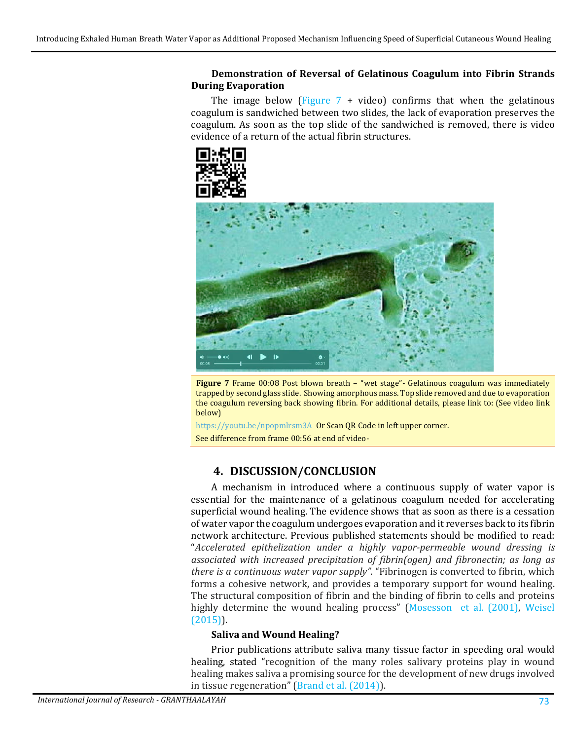#### **Demonstration of Reversal of Gelatinous Coagulum into Fibrin Strands During Evaporation**

The image below (Figure  $7 +$  video) confirms that when the gelatinous coagulum is sandwiched between two slides, the lack of evaporation preserves the coagulum. As soon as the top slide of the sandwiched is removed, there is video evidence of a return of the actual fibrin structures.



**Figure 7** Frame 00:08 Post blown breath – "wet stage"- Gelatinous coagulum was immediately trapped by second glass slide. Showing amorphous mass. Top slide removed and due to evaporation the coagulum reversing back showing fibrin. For additional details, please link to: (See video link below)

<span id="page-5-0"></span><https://youtu.be/npopmlrsm3A>Or Scan QR Code in left upper corner.

See difference from frame 00:56 at end of video-

## **4. DISCUSSION/CONCLUSION**

A mechanism in introduced where a continuous supply of water vapor is essential for the maintenance of a gelatinous coagulum needed for accelerating superficial wound healing. The evidence shows that as soon as there is a cessation of water vapor the coagulum undergoes evaporation and it reverses back to its fibrin network architecture. Previous published statements should be modified to read: "*Accelerated epithelization under a highly vapor-permeable wound dressing is associated with increased precipitation of fibrin(ogen) and fibronectin; as long as there is a continuous water vapor supply".* "Fibrinogen is converted to fibrin, which forms a cohesive network, and provides a temporary support for wound healing. The structural composition of fibrin and the binding of fibrin to cells and proteins highly determine the wound healing process" [\(Mosesson et al. \(2001\),](#page-6-4) Weisel [\(2015\)\)](#page-6-5).

### **Saliva and Wound Healing?**

Prior publications attribute saliva many tissue factor in speeding oral would healing, stated "recognition of the many roles salivary proteins play in wound healing makes saliva a promising source for the development of new drugs involved in tissue regeneration" [\(Brand et al.](#page-6-6) (2014)).